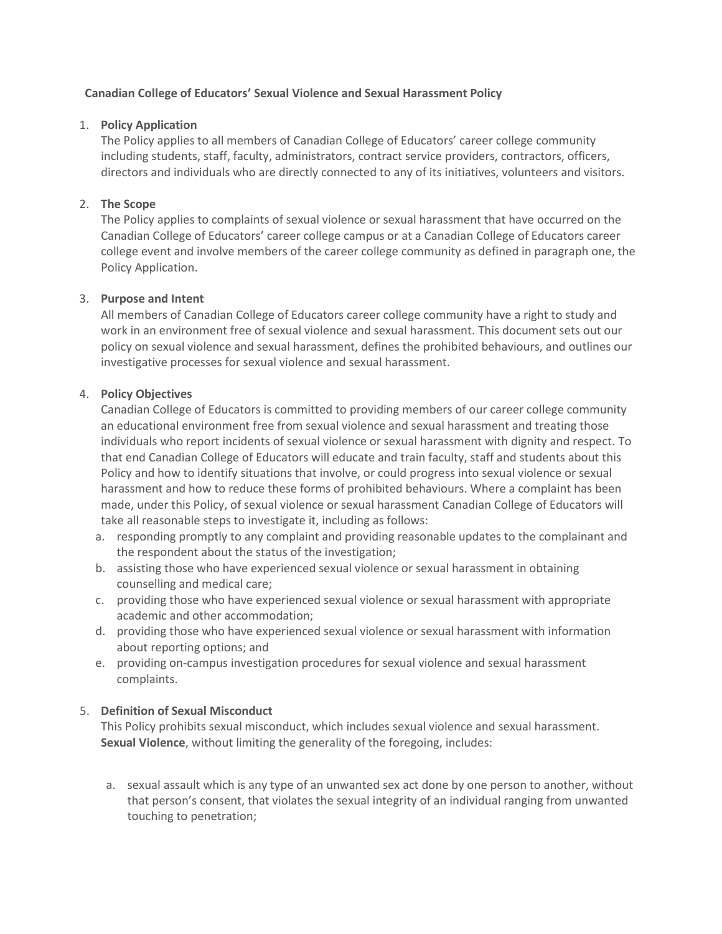## **Canadian College of Educators' Sexual Violence and Sexual Harassment Policy**

## 1. **Policy Application**

The Policy applies to all members of Canadian College of Educators' career college community including students, staff, faculty, administrators, contract service providers, contractors, officers, directors and individuals who are directly connected to any of its initiatives, volunteers and visitors.

# 2. **The Scope**

The Policy applies to complaints of sexual violence or sexual harassment that have occurred on the Canadian College of Educators' career college campus or at a Canadian College of Educators career college event and involve members of the career college community as defined in paragraph one, the Policy Application.

# 3. **Purpose and Intent**

All members of Canadian College of Educators career college community have a right to study and work in an environment free of sexual violence and sexual harassment. This document sets out our policy on sexual violence and sexual harassment, defines the prohibited behaviours, and outlines our investigative processes for sexual violence and sexual harassment.

# 4. **Policy Objectives**

Canadian College of Educators is committed to providing members of our career college community an educational environment free from sexual violence and sexual harassment and treating those individuals who report incidents of sexual violence or sexual harassment with dignity and respect. To that end Canadian College of Educators will educate and train faculty, staff and students about this Policy and how to identify situations that involve, or could progress into sexual violence or sexual harassment and how to reduce these forms of prohibited behaviours. Where a complaint has been made, under this Policy, of sexual violence or sexual harassment Canadian College of Educators will take all reasonable steps to investigate it, including as follows:

- a. responding promptly to any complaint and providing reasonable updates to the complainant and the respondent about the status of the investigation;
- b. assisting those who have experienced sexual violence or sexual harassment in obtaining counselling and medical care;
- c. providing those who have experienced sexual violence or sexual harassment with appropriate academic and other accommodation;
- d. providing those who have experienced sexual violence or sexual harassment with information about reporting options; and
- e. providing on-campus investigation procedures for sexual violence and sexual harassment complaints.

# 5. **Definition of Sexual Misconduct**

This Policy prohibits sexual misconduct, which includes sexual violence and sexual harassment. **Sexual Violence**, without limiting the generality of the foregoing, includes:

a. sexual assault which is any type of an unwanted sex act done by one person to another, without that person's consent, that violates the sexual integrity of an individual ranging from unwanted touching to penetration;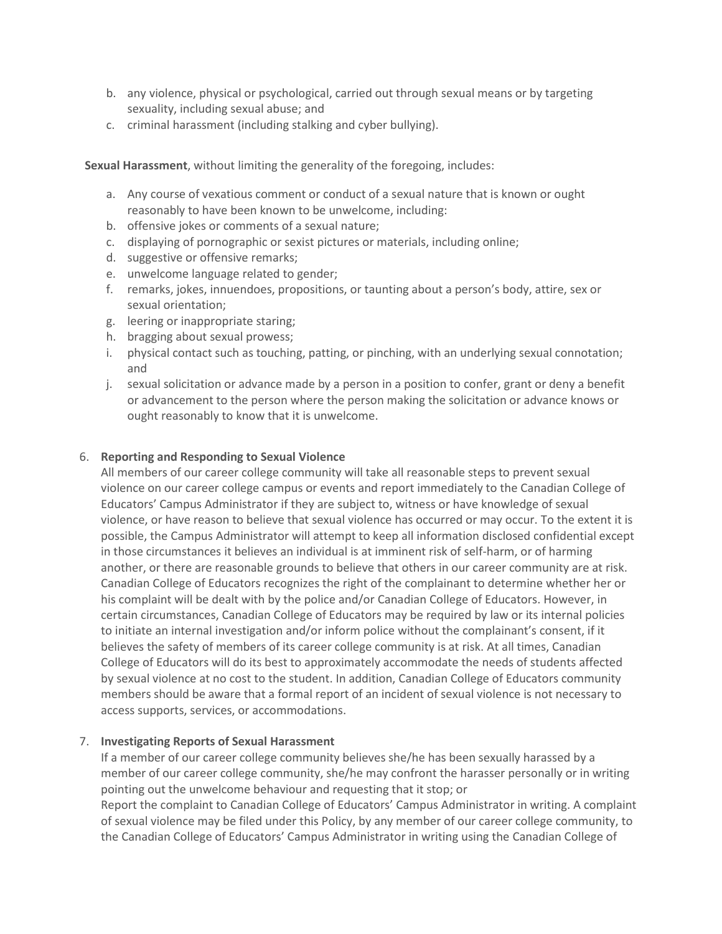- b. any violence, physical or psychological, carried out through sexual means or by targeting sexuality, including sexual abuse; and
- c. criminal harassment (including stalking and cyber bullying).

**Sexual Harassment**, without limiting the generality of the foregoing, includes:

- a. Any course of vexatious comment or conduct of a sexual nature that is known or ought reasonably to have been known to be unwelcome, including:
- b. offensive jokes or comments of a sexual nature;
- c. displaying of pornographic or sexist pictures or materials, including online;
- d. suggestive or offensive remarks;
- e. unwelcome language related to gender;
- f. remarks, jokes, innuendoes, propositions, or taunting about a person's body, attire, sex or sexual orientation;
- g. leering or inappropriate staring;
- h. bragging about sexual prowess;
- i. physical contact such as touching, patting, or pinching, with an underlying sexual connotation; and
- j. sexual solicitation or advance made by a person in a position to confer, grant or deny a benefit or advancement to the person where the person making the solicitation or advance knows or ought reasonably to know that it is unwelcome.

## 6. **Reporting and Responding to Sexual Violence**

All members of our career college community will take all reasonable steps to prevent sexual violence on our career college campus or events and report immediately to the Canadian College of Educators' Campus Administrator if they are subject to, witness or have knowledge of sexual violence, or have reason to believe that sexual violence has occurred or may occur. To the extent it is possible, the Campus Administrator will attempt to keep all information disclosed confidential except in those circumstances it believes an individual is at imminent risk of self-harm, or of harming another, or there are reasonable grounds to believe that others in our career community are at risk. Canadian College of Educators recognizes the right of the complainant to determine whether her or his complaint will be dealt with by the police and/or Canadian College of Educators. However, in certain circumstances, Canadian College of Educators may be required by law or its internal policies to initiate an internal investigation and/or inform police without the complainant's consent, if it believes the safety of members of its career college community is at risk. At all times, Canadian College of Educators will do its best to approximately accommodate the needs of students affected by sexual violence at no cost to the student. In addition, Canadian College of Educators community members should be aware that a formal report of an incident of sexual violence is not necessary to access supports, services, or accommodations.

## 7. **Investigating Reports of Sexual Harassment**

If a member of our career college community believes she/he has been sexually harassed by a member of our career college community, she/he may confront the harasser personally or in writing pointing out the unwelcome behaviour and requesting that it stop; or Report the complaint to Canadian College of Educators' Campus Administrator in writing. A complaint of sexual violence may be filed under this Policy, by any member of our career college community, to the Canadian College of Educators' Campus Administrator in writing using the Canadian College of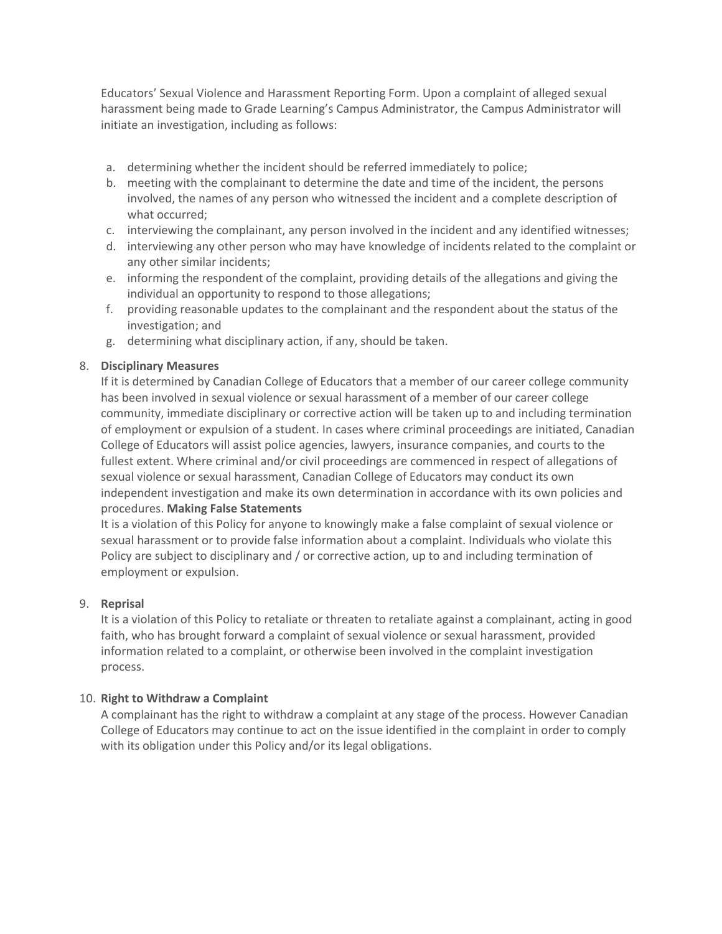Educators' Sexual Violence and Harassment Reporting Form. Upon a complaint of alleged sexual harassment being made to Grade Learning's Campus Administrator, the Campus Administrator will initiate an investigation, including as follows:

- a. determining whether the incident should be referred immediately to police;
- b. meeting with the complainant to determine the date and time of the incident, the persons involved, the names of any person who witnessed the incident and a complete description of what occurred;
- c. interviewing the complainant, any person involved in the incident and any identified witnesses;
- d. interviewing any other person who may have knowledge of incidents related to the complaint or any other similar incidents;
- e. informing the respondent of the complaint, providing details of the allegations and giving the individual an opportunity to respond to those allegations;
- f. providing reasonable updates to the complainant and the respondent about the status of the investigation; and
- g. determining what disciplinary action, if any, should be taken.

# 8. **Disciplinary Measures**

If it is determined by Canadian College of Educators that a member of our career college community has been involved in sexual violence or sexual harassment of a member of our career college community, immediate disciplinary or corrective action will be taken up to and including termination of employment or expulsion of a student. In cases where criminal proceedings are initiated, Canadian College of Educators will assist police agencies, lawyers, insurance companies, and courts to the fullest extent. Where criminal and/or civil proceedings are commenced in respect of allegations of sexual violence or sexual harassment, Canadian College of Educators may conduct its own independent investigation and make its own determination in accordance with its own policies and procedures. **Making False Statements**

It is a violation of this Policy for anyone to knowingly make a false complaint of sexual violence or sexual harassment or to provide false information about a complaint. Individuals who violate this Policy are subject to disciplinary and / or corrective action, up to and including termination of employment or expulsion.

## 9. **Reprisal**

It is a violation of this Policy to retaliate or threaten to retaliate against a complainant, acting in good faith, who has brought forward a complaint of sexual violence or sexual harassment, provided information related to a complaint, or otherwise been involved in the complaint investigation process.

## 10. **Right to Withdraw a Complaint**

A complainant has the right to withdraw a complaint at any stage of the process. However Canadian College of Educators may continue to act on the issue identified in the complaint in order to comply with its obligation under this Policy and/or its legal obligations.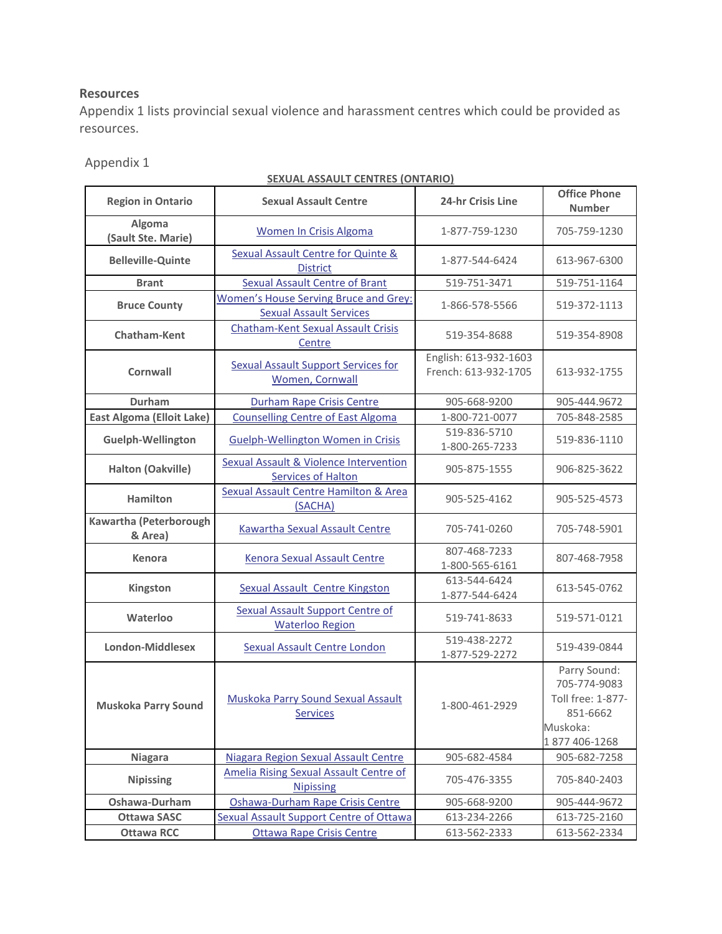# **Resources**

Appendix 1 lists provincial sexual violence and harassment centres which could be provided as resources.

# Appendix 1

# **SEXUAL ASSAULT CENTRES (ONTARIO)**

| <b>Region in Ontario</b>          | <u><b>SEASALINSSISEI SENTINES</b></u><br><b>Sexual Assault Centre</b>          | <b>24-hr Crisis Line</b>                      | <b>Office Phone</b><br><b>Number</b>                                                       |
|-----------------------------------|--------------------------------------------------------------------------------|-----------------------------------------------|--------------------------------------------------------------------------------------------|
| Algoma<br>(Sault Ste. Marie)      | <b>Women In Crisis Algoma</b>                                                  | 1-877-759-1230                                | 705-759-1230                                                                               |
| <b>Belleville-Quinte</b>          | <b>Sexual Assault Centre for Quinte &amp;</b><br><b>District</b>               | 1-877-544-6424                                | 613-967-6300                                                                               |
| <b>Brant</b>                      | <b>Sexual Assault Centre of Brant</b>                                          | 519-751-3471                                  | 519-751-1164                                                                               |
| <b>Bruce County</b>               | <b>Women's House Serving Bruce and Grey:</b><br><b>Sexual Assault Services</b> | 1-866-578-5566                                | 519-372-1113                                                                               |
| <b>Chatham-Kent</b>               | <b>Chatham-Kent Sexual Assault Crisis</b><br>Centre                            | 519-354-8688                                  | 519-354-8908                                                                               |
| Cornwall                          | <b>Sexual Assault Support Services for</b><br>Women, Cornwall                  | English: 613-932-1603<br>French: 613-932-1705 | 613-932-1755                                                                               |
| Durham                            | <b>Durham Rape Crisis Centre</b>                                               | 905-668-9200                                  | 905-444.9672                                                                               |
| <b>East Algoma (Elloit Lake)</b>  | <b>Counselling Centre of East Algoma</b>                                       | 1-800-721-0077                                | 705-848-2585                                                                               |
| <b>Guelph-Wellington</b>          | <b>Guelph-Wellington Women in Crisis</b>                                       | 519-836-5710<br>1-800-265-7233                | 519-836-1110                                                                               |
| Halton (Oakville)                 | <b>Sexual Assault &amp; Violence Intervention</b><br><b>Services of Halton</b> | 905-875-1555                                  | 906-825-3622                                                                               |
| <b>Hamilton</b>                   | <b>Sexual Assault Centre Hamilton &amp; Area</b><br>(SACHA)                    | 905-525-4162                                  | 905-525-4573                                                                               |
| Kawartha (Peterborough<br>& Area) | <b>Kawartha Sexual Assault Centre</b>                                          | 705-741-0260                                  | 705-748-5901                                                                               |
| Kenora                            | <b>Kenora Sexual Assault Centre</b>                                            | 807-468-7233<br>1-800-565-6161                | 807-468-7958                                                                               |
| Kingston                          | <b>Sexual Assault Centre Kingston</b>                                          | 613-544-6424<br>1-877-544-6424                | 613-545-0762                                                                               |
| Waterloo                          | <b>Sexual Assault Support Centre of</b><br><b>Waterloo Region</b>              | 519-741-8633                                  | 519-571-0121                                                                               |
| <b>London-Middlesex</b>           | <b>Sexual Assault Centre London</b>                                            | 519-438-2272<br>1-877-529-2272                | 519-439-0844                                                                               |
| <b>Muskoka Parry Sound</b>        | <b>Muskoka Parry Sound Sexual Assault</b><br>Services                          | 1-800-461-2929                                | Parry Sound:<br>705-774-9083<br>Toll free: 1-877-<br>851-6662<br>Muskoka:<br>1877 406-1268 |
| <b>Niagara</b>                    | Niagara Region Sexual Assault Centre                                           | 905-682-4584                                  | 905-682-7258                                                                               |
| <b>Nipissing</b>                  | <b>Amelia Rising Sexual Assault Centre of</b><br><b>Nipissing</b>              | 705-476-3355                                  | 705-840-2403                                                                               |
| Oshawa-Durham                     | Oshawa-Durham Rape Crisis Centre                                               | 905-668-9200                                  | 905-444-9672                                                                               |
| <b>Ottawa SASC</b>                | <b>Sexual Assault Support Centre of Ottawa</b>                                 | 613-234-2266                                  | 613-725-2160                                                                               |
| <b>Ottawa RCC</b>                 | <b>Ottawa Rape Crisis Centre</b>                                               | 613-562-2333                                  | 613-562-2334                                                                               |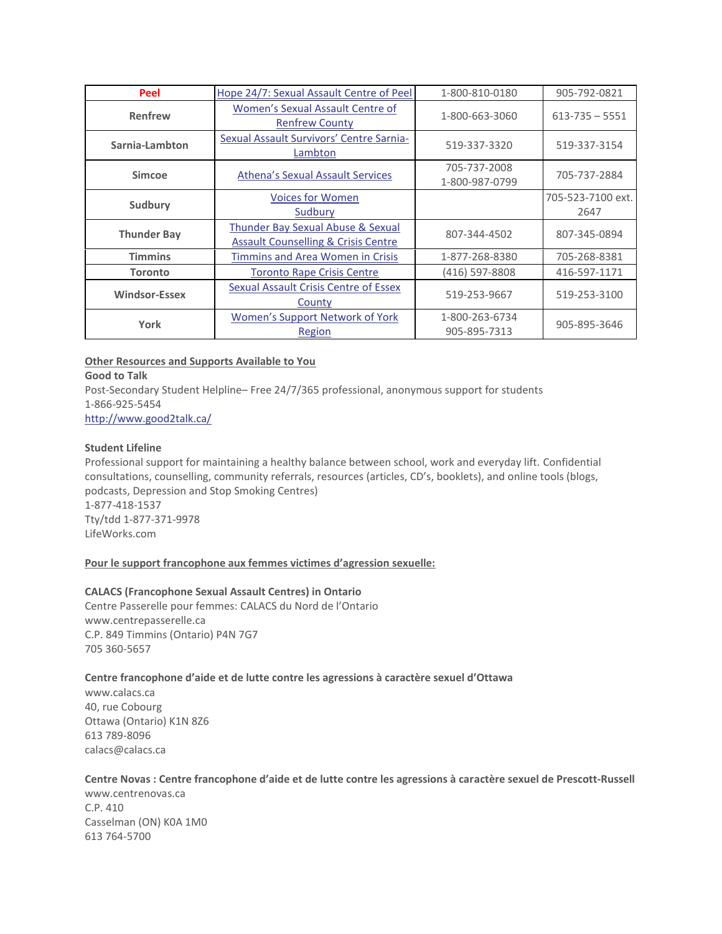| Peel                 | Hope 24/7: Sexual Assault Centre of Peel                                                       | 1-800-810-0180                 | 905-792-0821              |
|----------------------|------------------------------------------------------------------------------------------------|--------------------------------|---------------------------|
| Renfrew              | Women's Sexual Assault Centre of<br><b>Renfrew County</b>                                      | 1-800-663-3060                 | $613 - 735 - 5551$        |
| Sarnia-Lambton       | Sexual Assault Survivors' Centre Sarnia-<br>Lambton                                            | 519-337-3320                   | 519-337-3154              |
| <b>Simcoe</b>        | <b>Athena's Sexual Assault Services</b>                                                        | 705-737-2008<br>1-800-987-0799 | 705-737-2884              |
| Sudbury              | <b>Voices for Women</b><br>Sudbury                                                             |                                | 705-523-7100 ext.<br>2647 |
| <b>Thunder Bay</b>   | <b>Thunder Bay Sexual Abuse &amp; Sexual</b><br><b>Assault Counselling &amp; Crisis Centre</b> | 807-344-4502                   | 807-345-0894              |
| <b>Timmins</b>       | <b>Timmins and Area Women in Crisis</b>                                                        | 1-877-268-8380                 | 705-268-8381              |
| <b>Toronto</b>       | <b>Toronto Rape Crisis Centre</b>                                                              | (416) 597-8808                 | 416-597-1171              |
| <b>Windsor-Essex</b> | <b>Sexual Assault Crisis Centre of Essex</b><br>County                                         | 519-253-9667                   | 519-253-3100              |
| York                 | Women's Support Network of York<br>Region                                                      | 1-800-263-6734<br>905-895-7313 | 905-895-3646              |

### **Other Resources and Supports Available to You**

### **Good to Talk**

Post-Secondary Student Helpline– Free 24/7/365 professional, anonymous support for students 1-866-925-5454

http://www.good2talk.ca/

## **Student Lifeline**

Professional support for maintaining a healthy balance between school, work and everyday lift. Confidential consultations, counselling, community referrals, resources (articles, CD's, booklets), and online tools (blogs, podcasts, Depression and Stop Smoking Centres) 1-877-418-1537 Tty/tdd 1-877-371-9978 LifeWorks.com

## **Pour le support francophone aux femmes victimes d'agression sexuelle:**

### **CALACS (Francophone Sexual Assault Centres) in Ontario**

Centre Passerelle pour femmes: CALACS du Nord de l'Ontario www.centrepasserelle.ca C.P. 849 Timmins (Ontario) P4N 7G7 705 360-5657

### **Centre francophone d'aide et de lutte contre les agressions à caractère sexuel d'Ottawa**

www.calacs.ca 40, rue Cobourg Ottawa (Ontario) K1N 8Z6 613 789-8096 calacs@calacs.ca

## **Centre Novas : Centre francophone d'aide et de lutte contre les agressions à caractère sexuel de Prescott-Russell**

www.centrenovas.ca C.P. 410 Casselman (ON) K0A 1M0 613 764-5700